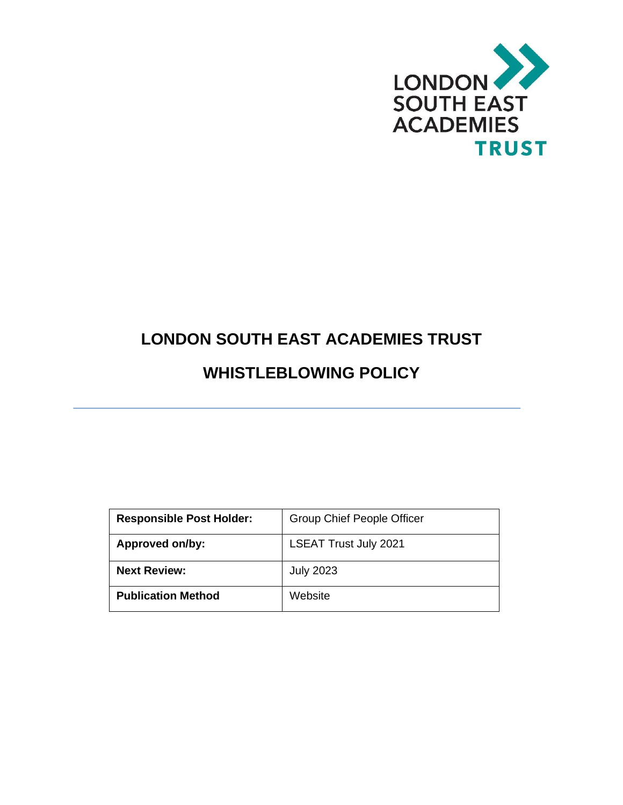

# **LONDON SOUTH EAST ACADEMIES TRUST**

## **WHISTLEBLOWING POLICY**

| <b>Responsible Post Holder:</b> | <b>Group Chief People Officer</b> |
|---------------------------------|-----------------------------------|
| Approved on/by:                 | <b>LSEAT Trust July 2021</b>      |
| <b>Next Review:</b>             | <b>July 2023</b>                  |
| <b>Publication Method</b>       | Website                           |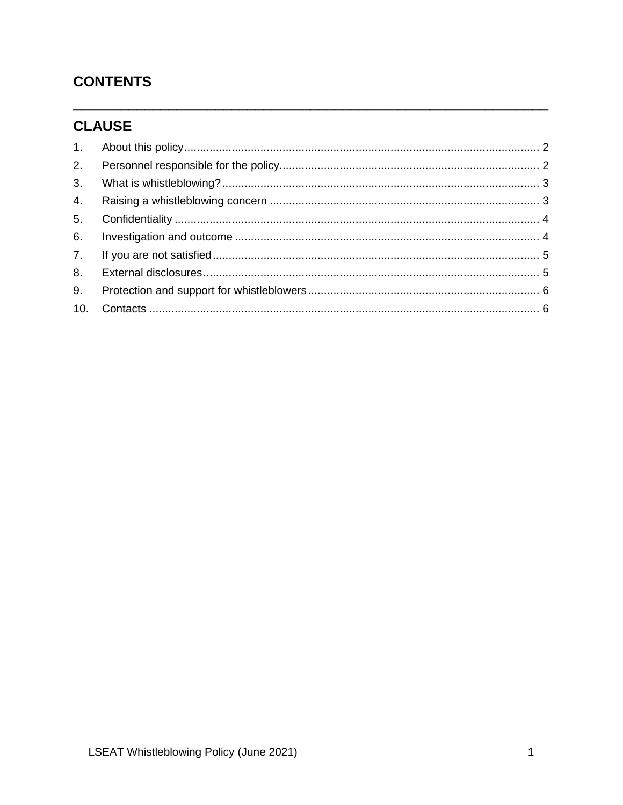### **CONTENTS**

### **CLAUSE**

| 2.             |  |
|----------------|--|
| 3.             |  |
| $\mathbf{4}$ . |  |
| 5.             |  |
| 6.             |  |
| 7.             |  |
| 8.             |  |
| 9.             |  |
|                |  |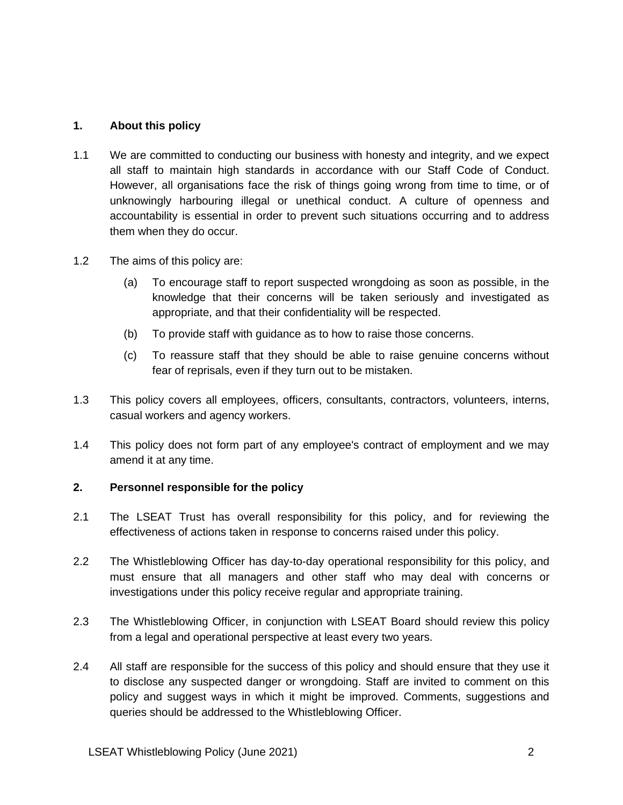#### <span id="page-2-0"></span>**1. About this policy**

- 1.1 We are committed to conducting our business with honesty and integrity, and we expect all staff to maintain high standards in accordance with our Staff Code of Conduct. However, all organisations face the risk of things going wrong from time to time, or of unknowingly harbouring illegal or unethical conduct. A culture of openness and accountability is essential in order to prevent such situations occurring and to address them when they do occur.
- 1.2 The aims of this policy are:
	- (a) To encourage staff to report suspected wrongdoing as soon as possible, in the knowledge that their concerns will be taken seriously and investigated as appropriate, and that their confidentiality will be respected.
	- (b) To provide staff with guidance as to how to raise those concerns.
	- (c) To reassure staff that they should be able to raise genuine concerns without fear of reprisals, even if they turn out to be mistaken.
- 1.3 This policy covers all employees, officers, consultants, contractors, volunteers, interns, casual workers and agency workers.
- 1.4 This policy does not form part of any employee's contract of employment and we may amend it at any time.

#### <span id="page-2-1"></span>**2. Personnel responsible for the policy**

- 2.1 The LSEAT Trust has overall responsibility for this policy, and for reviewing the effectiveness of actions taken in response to concerns raised under this policy.
- 2.2 The Whistleblowing Officer has day-to-day operational responsibility for this policy, and must ensure that all managers and other staff who may deal with concerns or investigations under this policy receive regular and appropriate training.
- 2.3 The Whistleblowing Officer, in conjunction with LSEAT Board should review this policy from a legal and operational perspective at least every two years.
- 2.4 All staff are responsible for the success of this policy and should ensure that they use it to disclose any suspected danger or wrongdoing. Staff are invited to comment on this policy and suggest ways in which it might be improved. Comments, suggestions and queries should be addressed to the Whistleblowing Officer.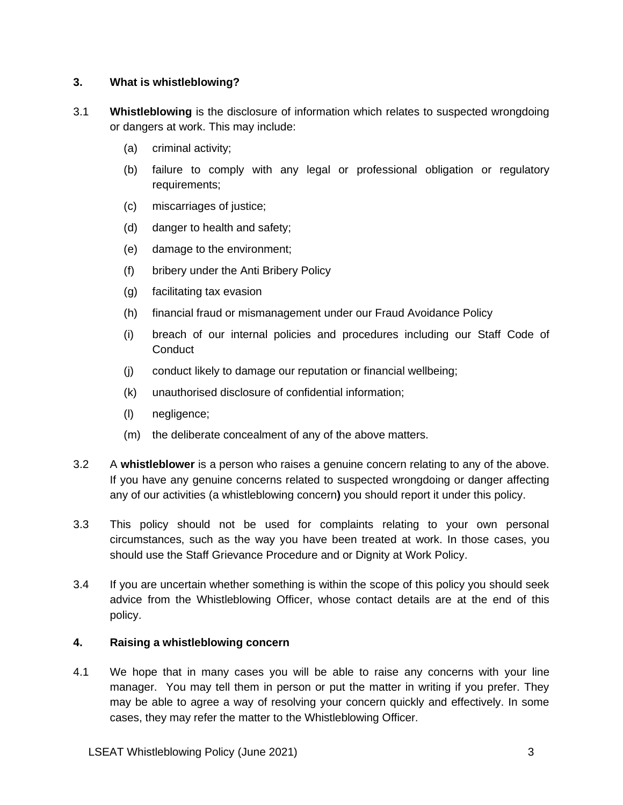#### <span id="page-3-0"></span>**3. What is whistleblowing?**

- 3.1 **Whistleblowing** is the disclosure of information which relates to suspected wrongdoing or dangers at work. This may include:
	- (a) criminal activity;
	- (b) failure to comply with any legal or professional obligation or regulatory requirements;
	- (c) miscarriages of justice;
	- (d) danger to health and safety;
	- (e) damage to the environment;
	- (f) bribery under the Anti Bribery Policy
	- (g) facilitating tax evasion
	- (h) financial fraud or mismanagement under our Fraud Avoidance Policy
	- (i) breach of our internal policies and procedures including our Staff Code of **Conduct**
	- (j) conduct likely to damage our reputation or financial wellbeing;
	- (k) unauthorised disclosure of confidential information;
	- (l) negligence;
	- (m) the deliberate concealment of any of the above matters.
- 3.2 A **whistleblower** is a person who raises a genuine concern relating to any of the above. If you have any genuine concerns related to suspected wrongdoing or danger affecting any of our activities (a whistleblowing concern**)** you should report it under this policy.
- 3.3 This policy should not be used for complaints relating to your own personal circumstances, such as the way you have been treated at work. In those cases, you should use the Staff Grievance Procedure and or Dignity at Work Policy.
- 3.4 If you are uncertain whether something is within the scope of this policy you should seek advice from the Whistleblowing Officer, whose contact details are at the end of this policy.

#### <span id="page-3-1"></span>**4. Raising a whistleblowing concern**

4.1 We hope that in many cases you will be able to raise any concerns with your line manager. You may tell them in person or put the matter in writing if you prefer. They may be able to agree a way of resolving your concern quickly and effectively. In some cases, they may refer the matter to the Whistleblowing Officer.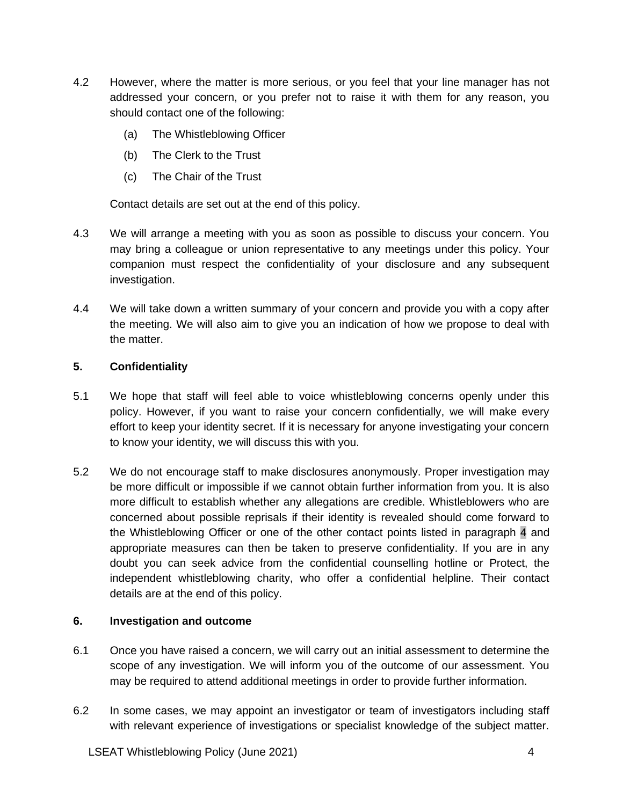- 4.2 However, where the matter is more serious, or you feel that your line manager has not addressed your concern, or you prefer not to raise it with them for any reason, you should contact one of the following:
	- (a) The Whistleblowing Officer
	- (b) The Clerk to the Trust
	- (c) The Chair of the Trust

Contact details are set out at the end of this policy.

- 4.3 We will arrange a meeting with you as soon as possible to discuss your concern. You may bring a colleague or union representative to any meetings under this policy. Your companion must respect the confidentiality of your disclosure and any subsequent investigation.
- 4.4 We will take down a written summary of your concern and provide you with a copy after the meeting. We will also aim to give you an indication of how we propose to deal with the matter.

#### <span id="page-4-0"></span>**5. Confidentiality**

- 5.1 We hope that staff will feel able to voice whistleblowing concerns openly under this policy. However, if you want to raise your concern confidentially, we will make every effort to keep your identity secret. If it is necessary for anyone investigating your concern to know your identity, we will discuss this with you.
- 5.2 We do not encourage staff to make disclosures anonymously. Proper investigation may be more difficult or impossible if we cannot obtain further information from you. It is also more difficult to establish whether any allegations are credible. Whistleblowers who are concerned about possible reprisals if their identity is revealed should come forward to the Whistleblowing Officer or one of the other contact points listed in [paragraph 4](#page-3-1) and appropriate measures can then be taken to preserve confidentiality. If you are in any doubt you can seek advice from the confidential counselling hotline or Protect, the independent whistleblowing charity, who offer a confidential helpline. Their contact details are at the end of this policy.

#### <span id="page-4-1"></span>**6. Investigation and outcome**

- 6.1 Once you have raised a concern, we will carry out an initial assessment to determine the scope of any investigation. We will inform you of the outcome of our assessment. You may be required to attend additional meetings in order to provide further information.
- 6.2 In some cases, we may appoint an investigator or team of investigators including staff with relevant experience of investigations or specialist knowledge of the subject matter.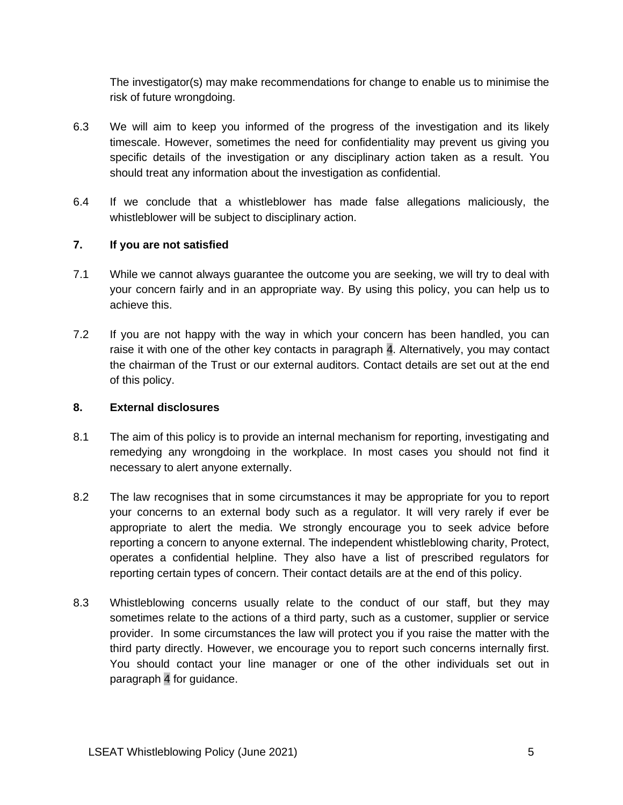The investigator(s) may make recommendations for change to enable us to minimise the risk of future wrongdoing.

- 6.3 We will aim to keep you informed of the progress of the investigation and its likely timescale. However, sometimes the need for confidentiality may prevent us giving you specific details of the investigation or any disciplinary action taken as a result. You should treat any information about the investigation as confidential.
- 6.4 If we conclude that a whistleblower has made false allegations maliciously, the whistleblower will be subject to disciplinary action.

#### <span id="page-5-0"></span>**7. If you are not satisfied**

- 7.1 While we cannot always guarantee the outcome you are seeking, we will try to deal with your concern fairly and in an appropriate way. By using this policy, you can help us to achieve this.
- 7.2 If you are not happy with the way in which your concern has been handled, you can raise it with one of the other key contacts in [paragraph 4.](#page-3-1) Alternatively, you may contact the chairman of the Trust or our external auditors. Contact details are set out at the end of this policy.

#### <span id="page-5-1"></span>**8. External disclosures**

- 8.1 The aim of this policy is to provide an internal mechanism for reporting, investigating and remedying any wrongdoing in the workplace. In most cases you should not find it necessary to alert anyone externally.
- 8.2 The law recognises that in some circumstances it may be appropriate for you to report your concerns to an external body such as a regulator. It will very rarely if ever be appropriate to alert the media. We strongly encourage you to seek advice before reporting a concern to anyone external. The independent whistleblowing charity, Protect, operates a confidential helpline. They also have a list of prescribed regulators for reporting certain types of concern. Their contact details are at the end of this policy.
- 8.3 Whistleblowing concerns usually relate to the conduct of our staff, but they may sometimes relate to the actions of a third party, such as a customer, supplier or service provider. In some circumstances the law will protect you if you raise the matter with the third party directly. However, we encourage you to report such concerns internally first. You should contact your line manager or one of the other individuals set out in [paragraph 4](#page-3-1) for guidance.